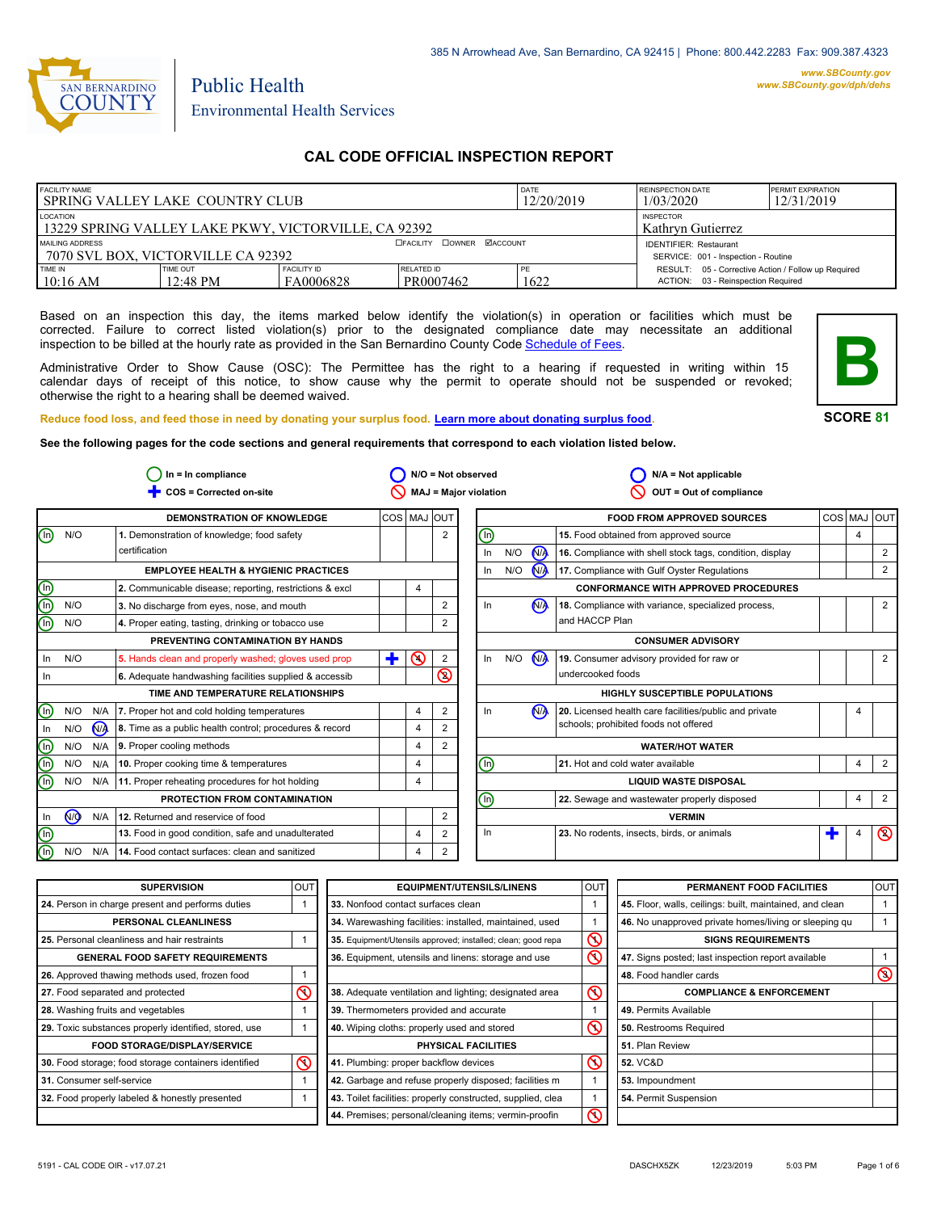

# Environmental Health Services

Public Health

# **CAL CODE OFFICIAL INSPECTION REPORT**

| <b>FACILITY NAME</b><br>I SPRING VALLEY LAKE COUNTRY CLUB        |                                    |                                 | DATE<br>12/20/2019                    | <b>REINSPECTION DATE</b><br>1/03/2020 | <b>PERMIT EXPIRATION</b><br>12/31/2019                                                    |  |
|------------------------------------------------------------------|------------------------------------|---------------------------------|---------------------------------------|---------------------------------------|-------------------------------------------------------------------------------------------|--|
| LOCATION<br>13229 SPRING VALLEY LAKE PKWY, VICTORVILLE, CA 92392 |                                    |                                 | <b>INSPECTOR</b><br>Kathryn Gutierrez |                                       |                                                                                           |  |
| MAILING ADDRESS                                                  | 7070 SVL BOX. VICTORVILLE CA 92392 |                                 | <b>OFACILITY COWNER MACCOUNT</b>      |                                       | <b>IDENTIFIER: Restaurant</b><br>SERVICE: 001 - Inspection - Routine                      |  |
| TIME IN<br>$10:16$ AM                                            | TIME OUT<br>12:48 PM               | <b>FACILITY ID</b><br>FA0006828 | <b>RELATED ID</b><br>PR0007462        | PE<br>1622                            | RESULT: 05 - Corrective Action / Follow up Required<br>ACTION: 03 - Reinspection Required |  |

Based on an inspection this day, the items marked below identify the violation(s) in operation or facilities which must be corrected. Failure to correct listed violation(s) prior to the designated compliance date may necessitate an additional inspection to be billed at the hourly rate as provided in the San Bernardino County Code Schedule [of Fees.](http://www.amlegal.com/nxt/gateway.dll/California/sanbernardinocounty_ca/title1governmentandadministration/division6countyfees/chapter2scheduleoffees?f=templates$fn=default.htm$3.0$vid=amlegal:sanbernardinocounty_ca$anc=JD_16.0213B)

Administrative Order to Show Cause (OSC): The Permittee has the right to a hearing if requested in writing within 15 calendar days of receipt of this notice, to show cause why the permit to operate should not be suspended or revoked; otherwise the right to a hearing shall be deemed waived.



**SCORE 81**

**B**

**See the following pages for the code sections and general requirements that correspond to each violation listed below.**

|                                | $In = In$ compliance |       |                                                         |         | $N/O = Not observed$ |                |                       | $N/A = Not$ applicable |                      |                                                          |     |     |                |
|--------------------------------|----------------------|-------|---------------------------------------------------------|---------|----------------------|----------------|-----------------------|------------------------|----------------------|----------------------------------------------------------|-----|-----|----------------|
|                                |                      |       | COS = Corrected on-site                                 |         |                      |                | MAJ = Major violation |                        |                      | OUT = Out of compliance                                  |     |     |                |
|                                |                      |       | <b>DEMONSTRATION OF KNOWLEDGE</b>                       | COS MAJ |                      | <b>IOUT</b>    |                       |                        |                      | <b>FOOD FROM APPROVED SOURCES</b>                        | COS | MAJ | loutl          |
| $\textcircled{\scriptsize{1}}$ | N/O                  |       | 1. Demonstration of knowledge; food safety              |         |                      | $\overline{2}$ | (n)                   |                        |                      | 15. Food obtained from approved source                   |     | 4   |                |
|                                |                      |       | certification                                           |         |                      |                | In                    | N/O                    | N <sub>A</sub>       | 16. Compliance with shell stock tags, condition, display |     |     | 2              |
|                                |                      |       | <b>EMPLOYEE HEALTH &amp; HYGIENIC PRACTICES</b>         |         |                      |                | In                    | N/O                    | $\mathbf{M}$         | 17. Compliance with Gulf Oyster Regulations              |     |     | 2              |
| $\bigcirc$                     |                      |       | 2. Communicable disease; reporting, restrictions & excl |         | 4                    |                |                       |                        |                      | <b>CONFORMANCE WITH APPROVED PROCEDURES</b>              |     |     |                |
| $\overline{\mathbb{O}}$        | N/O                  |       | 3. No discharge from eyes, nose, and mouth              |         |                      | 2              | ln.                   |                        | N <sub>A</sub>       | 18. Compliance with variance, specialized process,       |     |     | 2              |
| (n)                            | N/O                  |       | 4. Proper eating, tasting, drinking or tobacco use      |         |                      | 2              |                       |                        |                      | and HACCP Plan                                           |     |     |                |
|                                |                      |       | PREVENTING CONTAMINATION BY HANDS                       |         |                      |                |                       |                        |                      | <b>CONSUMER ADVISORY</b>                                 |     |     |                |
| ln.                            | N/O                  |       | 5. Hands clean and properly washed; gloves used prop    | ÷       | $\odot$              | 2              | In                    | N/O                    | <b>N<sub>A</sub></b> | 19. Consumer advisory provided for raw or                |     |     | 2              |
| ln.                            |                      |       | 6. Adequate handwashing facilities supplied & accessib  |         |                      | <b>®</b>       |                       |                        |                      | undercooked foods                                        |     |     |                |
|                                |                      |       | TIME AND TEMPERATURE RELATIONSHIPS                      |         |                      |                |                       |                        |                      | <b>HIGHLY SUSCEPTIBLE POPULATIONS</b>                    |     |     |                |
| $(\ln)$                        | N/O                  | N/A   | 7. Proper hot and cold holding temperatures             |         | $\overline{4}$       | $\overline{2}$ | In.                   |                        | N <sub>A</sub>       | 20. Licensed health care facilities/public and private   |     | 4   |                |
| In.                            | N/O                  | $N_A$ | 8. Time as a public health control; procedures & record |         | 4                    | $\overline{2}$ |                       |                        |                      | schools; prohibited foods not offered                    |     |     |                |
| (n)                            | N/O                  | N/A   | 9. Proper cooling methods                               |         | 4                    | 2              |                       |                        |                      | <b>WATER/HOT WATER</b>                                   |     |     |                |
| $\binom{n}{2}$                 | N/O                  | N/A   | 10. Proper cooking time & temperatures                  |         | $\overline{4}$       |                | (In)                  |                        |                      | 21. Hot and cold water available                         |     | 4   | 2              |
| (n)                            | N/O                  |       | N/A 11. Proper reheating procedures for hot holding     |         | 4                    |                |                       |                        |                      | <b>LIQUID WASTE DISPOSAL</b>                             |     |     |                |
|                                |                      |       | PROTECTION FROM CONTAMINATION                           |         |                      |                | ⋒                     |                        |                      | 22. Sewage and wastewater properly disposed              |     | 4   | 2              |
| In                             | N <sub>O</sub>       | N/A   | 12. Returned and reservice of food                      |         |                      | $\overline{2}$ |                       |                        |                      | <b>VERMIN</b>                                            |     |     |                |
| $(\ln)$                        |                      |       | 13. Food in good condition, safe and unadulterated      |         | 4                    | 2              | In.                   |                        |                      | 23. No rodents, insects, birds, or animals               | т   | 4   | $\circledcirc$ |
| (n)                            | N/O                  | N/A   | 14. Food contact surfaces: clean and sanitized          |         | 4                    | 2              |                       |                        |                      |                                                          |     |     |                |

| <b>SUPERVISION</b>                                    | <b>OUT</b> | <b>EQUIPMENT/UTENSILS/LINENS</b>                             | <b>OUT</b>              | PERMANENT FOOD FACILITIES                                | OUT            |
|-------------------------------------------------------|------------|--------------------------------------------------------------|-------------------------|----------------------------------------------------------|----------------|
| 24. Person in charge present and performs duties      |            | 33. Nonfood contact surfaces clean                           |                         | 45. Floor, walls, ceilings: built, maintained, and clean |                |
| PERSONAL CLEANLINESS                                  |            | 34. Warewashing facilities: installed, maintained, used      |                         | 46. No unapproved private homes/living or sleeping qu    |                |
| 25. Personal cleanliness and hair restraints          |            | 35. Equipment/Utensils approved; installed; clean; good repa | $\infty$                | <b>SIGNS REQUIREMENTS</b>                                |                |
| <b>GENERAL FOOD SAFETY REQUIREMENTS</b>               |            | 36. Equipment, utensils and linens: storage and use          | $\overline{\mathbb{C}}$ | 47. Signs posted; last inspection report available       |                |
| 26. Approved thawing methods used, frozen food        |            |                                                              |                         | 48. Food handler cards                                   | $\circledcirc$ |
| 27. Food separated and protected                      | ⋒          | 38. Adequate ventilation and lighting; designated area       | $\circledcirc$          | <b>COMPLIANCE &amp; ENFORCEMENT</b>                      |                |
| 28. Washing fruits and vegetables                     |            | 39. Thermometers provided and accurate                       |                         | 49. Permits Available                                    |                |
| 29. Toxic substances properly identified, stored, use |            | 40. Wiping cloths: properly used and stored                  | $\infty$                | 50. Restrooms Required                                   |                |
| <b>FOOD STORAGE/DISPLAY/SERVICE</b>                   |            | <b>PHYSICAL FACILITIES</b>                                   |                         | 51. Plan Review                                          |                |
| 30. Food storage; food storage containers identified  | $\infty$   | 41. Plumbing: proper backflow devices                        | $\infty$                | <b>52. VC&amp;D</b>                                      |                |
| 31. Consumer self-service                             |            | 42. Garbage and refuse properly disposed; facilities m       |                         | 53. Impoundment                                          |                |
| 32. Food properly labeled & honestly presented        |            | 43. Toilet facilities: properly constructed, supplied, clea  |                         | 54. Permit Suspension                                    |                |
|                                                       |            | 44. Premises; personal/cleaning items; vermin-proofin        | $\infty$                |                                                          |                |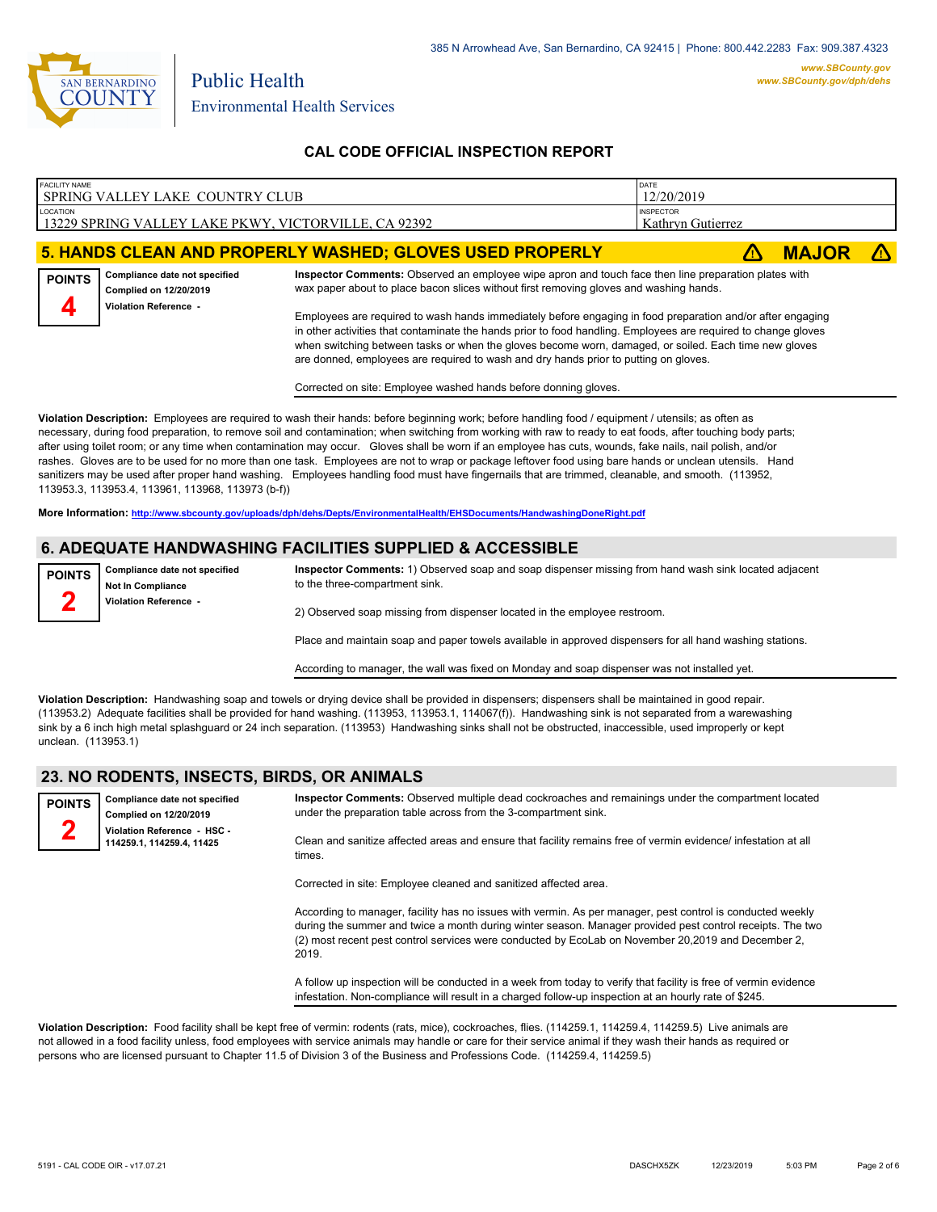

| FACILITY NAME                                                                                                                                                                                                                                                                                                                                                                                                                                                                                                                    | SPRING VALLEY LAKE COUNTRY CLUB                                                                                                                                                                                                                                                                                                                                                                                                                                                                                                                                                                                                                                                                                                                                                                                                                                                                                                                                                  | DATE<br>12/20/2019                                                                                                                                                                             |                   |              |  |  |
|----------------------------------------------------------------------------------------------------------------------------------------------------------------------------------------------------------------------------------------------------------------------------------------------------------------------------------------------------------------------------------------------------------------------------------------------------------------------------------------------------------------------------------|----------------------------------------------------------------------------------------------------------------------------------------------------------------------------------------------------------------------------------------------------------------------------------------------------------------------------------------------------------------------------------------------------------------------------------------------------------------------------------------------------------------------------------------------------------------------------------------------------------------------------------------------------------------------------------------------------------------------------------------------------------------------------------------------------------------------------------------------------------------------------------------------------------------------------------------------------------------------------------|------------------------------------------------------------------------------------------------------------------------------------------------------------------------------------------------|-------------------|--------------|--|--|
| LOCATION                                                                                                                                                                                                                                                                                                                                                                                                                                                                                                                         |                                                                                                                                                                                                                                                                                                                                                                                                                                                                                                                                                                                                                                                                                                                                                                                                                                                                                                                                                                                  | <b>INSPECTOR</b>                                                                                                                                                                               |                   |              |  |  |
|                                                                                                                                                                                                                                                                                                                                                                                                                                                                                                                                  | 13229 SPRING VALLEY LAKE PKWY, VICTORVILLE, CA 92392                                                                                                                                                                                                                                                                                                                                                                                                                                                                                                                                                                                                                                                                                                                                                                                                                                                                                                                             |                                                                                                                                                                                                | Kathryn Gutierrez |              |  |  |
|                                                                                                                                                                                                                                                                                                                                                                                                                                                                                                                                  |                                                                                                                                                                                                                                                                                                                                                                                                                                                                                                                                                                                                                                                                                                                                                                                                                                                                                                                                                                                  |                                                                                                                                                                                                |                   |              |  |  |
|                                                                                                                                                                                                                                                                                                                                                                                                                                                                                                                                  |                                                                                                                                                                                                                                                                                                                                                                                                                                                                                                                                                                                                                                                                                                                                                                                                                                                                                                                                                                                  | 5. HANDS CLEAN AND PROPERLY WASHED; GLOVES USED PROPERLY                                                                                                                                       |                   | <b>MAJOR</b> |  |  |
| <b>POINTS</b>                                                                                                                                                                                                                                                                                                                                                                                                                                                                                                                    | Compliance date not specified<br>Complied on 12/20/2019                                                                                                                                                                                                                                                                                                                                                                                                                                                                                                                                                                                                                                                                                                                                                                                                                                                                                                                          | Inspector Comments: Observed an employee wipe apron and touch face then line preparation plates with<br>wax paper about to place bacon slices without first removing gloves and washing hands. |                   |              |  |  |
| <b>Violation Reference -</b><br>Employees are required to wash hands immediately before engaging in food preparation and/or after engaging<br>in other activities that contaminate the hands prior to food handling. Employees are required to change gloves<br>when switching between tasks or when the gloves become worn, damaged, or soiled. Each time new gloves<br>are donned, employees are required to wash and dry hands prior to putting on gloves.<br>Corrected on site: Employee washed hands before donning gloves. |                                                                                                                                                                                                                                                                                                                                                                                                                                                                                                                                                                                                                                                                                                                                                                                                                                                                                                                                                                                  |                                                                                                                                                                                                |                   |              |  |  |
|                                                                                                                                                                                                                                                                                                                                                                                                                                                                                                                                  | Violation Description: Employees are required to wash their hands: before beginning work; before handling food / equipment / utensils; as often as<br>necessary, during food preparation, to remove soil and contamination; when switching from working with raw to ready to eat foods, after touching body parts;<br>after using toilet room; or any time when contamination may occur. Gloves shall be worn if an employee has cuts, wounds, fake nails, nail polish, and/or<br>rashes. Gloves are to be used for no more than one task. Employees are not to wrap or package leftover food using bare hands or unclean utensils. Hand<br>sanitizers may be used after proper hand washing. Employees handling food must have fingernails that are trimmed, cleanable, and smooth. (113952,<br>113953.3, 113953.4, 113961, 113968, 113973 (b-f))<br>More Information: http://www.sbcounty.gov/uploads/dph/dehs/Depts/EnvironmentalHealth/EHSDocuments/HandwashingDoneRight.pdf |                                                                                                                                                                                                |                   |              |  |  |
|                                                                                                                                                                                                                                                                                                                                                                                                                                                                                                                                  |                                                                                                                                                                                                                                                                                                                                                                                                                                                                                                                                                                                                                                                                                                                                                                                                                                                                                                                                                                                  |                                                                                                                                                                                                |                   |              |  |  |
|                                                                                                                                                                                                                                                                                                                                                                                                                                                                                                                                  | 6. ADEQUATE HANDWASHING FACILITIES SUPPLIED & ACCESSIBLE                                                                                                                                                                                                                                                                                                                                                                                                                                                                                                                                                                                                                                                                                                                                                                                                                                                                                                                         |                                                                                                                                                                                                |                   |              |  |  |
| <b>POINTS</b>                                                                                                                                                                                                                                                                                                                                                                                                                                                                                                                    | Compliance date not specified<br>Not In Compliance<br>Violation Reference -                                                                                                                                                                                                                                                                                                                                                                                                                                                                                                                                                                                                                                                                                                                                                                                                                                                                                                      | Inspector Comments: 1) Observed soap and soap dispenser missing from hand wash sink located adjacent<br>to the three-compartment sink.                                                         |                   |              |  |  |
| 2) Observed soap missing from dispenser located in the employee restroom.                                                                                                                                                                                                                                                                                                                                                                                                                                                        |                                                                                                                                                                                                                                                                                                                                                                                                                                                                                                                                                                                                                                                                                                                                                                                                                                                                                                                                                                                  |                                                                                                                                                                                                |                   |              |  |  |

2) Observed soap missing from dispenser located in the employee restroom.

Place and maintain soap and paper towels available in approved dispensers for all hand washing stations.

According to manager, the wall was fixed on Monday and soap dispenser was not installed yet.

**Violation Description:** Handwashing soap and towels or drying device shall be provided in dispensers; dispensers shall be maintained in good repair. (113953.2) Adequate facilities shall be provided for hand washing. (113953, 113953.1, 114067(f)). Handwashing sink is not separated from a warewashing sink by a 6 inch high metal splashguard or 24 inch separation. (113953) Handwashing sinks shall not be obstructed, inaccessible, used improperly or kept unclean. (113953.1)

#### **23. NO RODENTS, INSECTS, BIRDS, OR ANIMALS**

| <b>POINTS</b> | Compliance date not specified<br>Complied on 12/20/2019  | Inspector Comments: Observed multiple dead cockroaches and remainings under the compartment located<br>under the preparation table across from the 3-compartment sink.                                                                                                                                                                 |
|---------------|----------------------------------------------------------|----------------------------------------------------------------------------------------------------------------------------------------------------------------------------------------------------------------------------------------------------------------------------------------------------------------------------------------|
|               | Violation Reference - HSC -<br>114259.1, 114259.4, 11425 | Clean and sanitize affected areas and ensure that facility remains free of vermin evidence/ infestation at all<br>times.                                                                                                                                                                                                               |
|               |                                                          | Corrected in site: Employee cleaned and sanitized affected area.                                                                                                                                                                                                                                                                       |
|               |                                                          | According to manager, facility has no issues with vermin. As per manager, pest control is conducted weekly<br>during the summer and twice a month during winter season. Manager provided pest control receipts. The two<br>(2) most recent pest control services were conducted by EcoLab on November 20,2019 and December 2,<br>2019. |
|               |                                                          | A follow up inspection will be conducted in a week from today to verify that facility is free of vermin evidence<br>infestation. Non-compliance will result in a charged follow-up inspection at an hourly rate of \$245.                                                                                                              |
|               |                                                          |                                                                                                                                                                                                                                                                                                                                        |

**Violation Description:** Food facility shall be kept free of vermin: rodents (rats, mice), cockroaches, flies. (114259.1, 114259.4, 114259.5) Live animals are not allowed in a food facility unless, food employees with service animals may handle or care for their service animal if they wash their hands as required or persons who are licensed pursuant to Chapter 11.5 of Division 3 of the Business and Professions Code. (114259.4, 114259.5)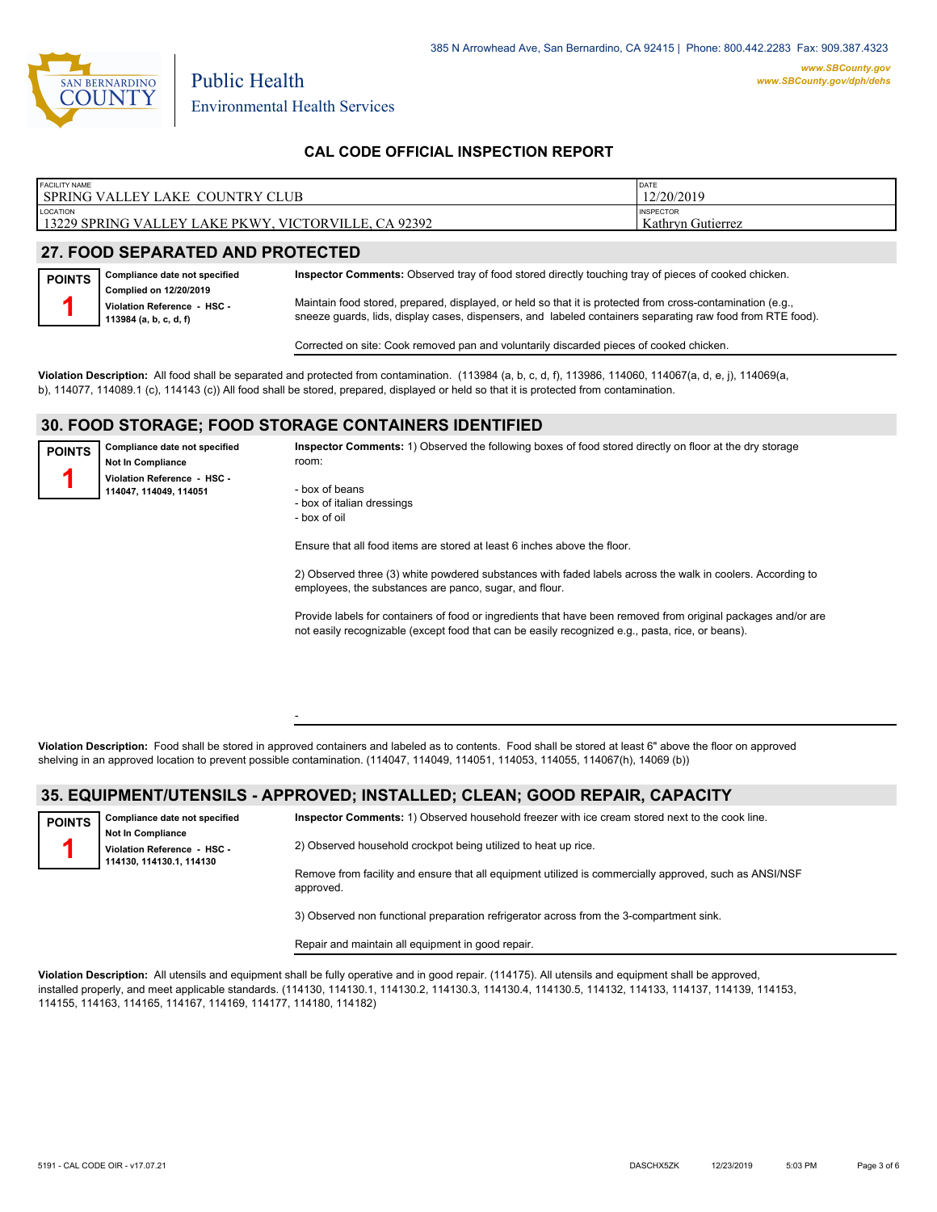

| <b>FACILITY NAME</b>                                 | DATE              |
|------------------------------------------------------|-------------------|
| SPRING VALLEY LAKE COUNTRY CLUB                      | 12/20/2019        |
| <b>LOCATION</b>                                      | <b>INSPECTOR</b>  |
| 13229 SPRING VALLEY LAKE PKWY, VICTORVILLE, CA 92392 | Kathryn Gutierrez |
|                                                      |                   |

## **27. FOOD SEPARATED AND PROTECTED**

| <b>POINTS</b> | Compliance date not specified                                                   | Inspector Comments: Observed tray of food stored directly touching tray of pieces of cooked chicken.                                                                                                                     |
|---------------|---------------------------------------------------------------------------------|--------------------------------------------------------------------------------------------------------------------------------------------------------------------------------------------------------------------------|
|               | Complied on 12/20/2019<br>Violation Reference - HSC -<br>113984 (a, b, c, d, f) | Maintain food stored, prepared, displayed, or held so that it is protected from cross-contamination (e.g.,<br>sneeze guards, lids, display cases, dispensers, and labeled containers separating raw food from RTE food). |

Corrected on site: Cook removed pan and voluntarily discarded pieces of cooked chicken.

**Violation Description:** All food shall be separated and protected from contamination. (113984 (a, b, c, d, f), 113986, 114060, 114067(a, d, e, j), 114069(a, b), 114077, 114089.1 (c), 114143 (c)) All food shall be stored, prepared, displayed or held so that it is protected from contamination.

## **30. FOOD STORAGE; FOOD STORAGE CONTAINERS IDENTIFIED**

-

**Compliance date not specified Not In Compliance Violation Reference - HSC - 114047, 114049, 114051 POINTS 1**

**Inspector Comments:** 1) Observed the following boxes of food stored directly on floor at the dry storage room:

- box of beans - box of italian dressings - box of oil

Ensure that all food items are stored at least 6 inches above the floor.

2) Observed three (3) white powdered substances with faded labels across the walk in coolers. According to employees, the substances are panco, sugar, and flour.

Provide labels for containers of food or ingredients that have been removed from original packages and/or are not easily recognizable (except food that can be easily recognized e.g., pasta, rice, or beans).

**Violation Description:** Food shall be stored in approved containers and labeled as to contents. Food shall be stored at least 6" above the floor on approved shelving in an approved location to prevent possible contamination. (114047, 114049, 114051, 114053, 114055, 114067(h), 14069 (b))

#### **35. EQUIPMENT/UTENSILS - APPROVED; INSTALLED; CLEAN; GOOD REPAIR, CAPACITY**

| <b>POINTS</b> | Compliance date not specified                                                       | Inspector Comments: 1) Observed household freezer with ice cream stored next to the cook line.                      |
|---------------|-------------------------------------------------------------------------------------|---------------------------------------------------------------------------------------------------------------------|
|               | <b>Not In Compliance</b><br>Violation Reference - HSC -<br>114130, 114130.1, 114130 | 2) Observed household crockpot being utilized to heat up rice.                                                      |
|               |                                                                                     | Remove from facility and ensure that all equipment utilized is commercially approved, such as ANSI/NSF<br>approved. |
|               |                                                                                     | 3) Observed non functional preparation refrigerator across from the 3-compartment sink.                             |

Repair and maintain all equipment in good repair.

**Violation Description:** All utensils and equipment shall be fully operative and in good repair. (114175). All utensils and equipment shall be approved, installed properly, and meet applicable standards. (114130, 114130.1, 114130.2, 114130.3, 114130.4, 114130.5, 114132, 114133, 114137, 114139, 114153, 114155, 114163, 114165, 114167, 114169, 114177, 114180, 114182)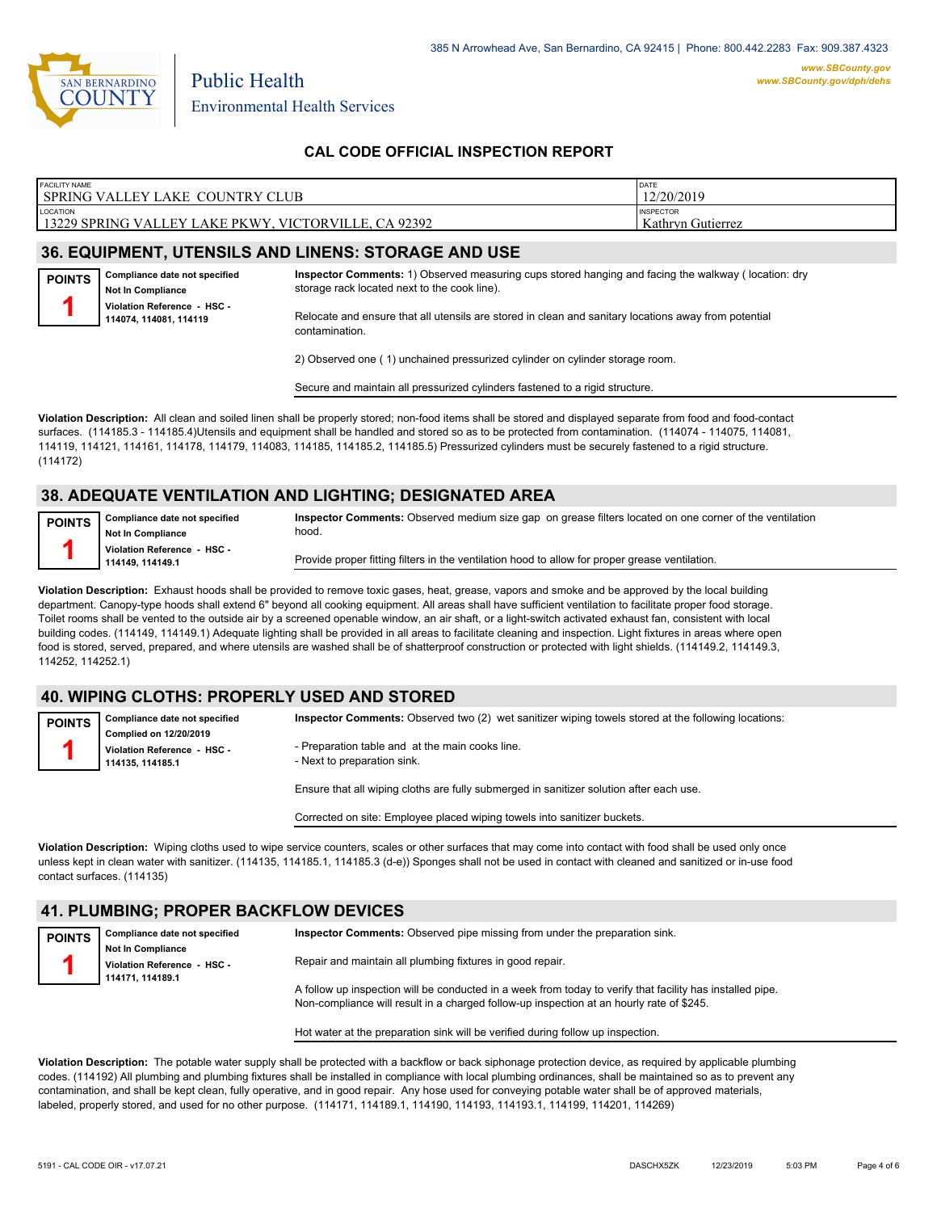

| <b>FACILITY NAME</b><br><b>SPRING VALLEY LAKE OF</b><br><b>CLUB</b><br>COUNTRY | <b>DATE</b><br>12/20/2019             |
|--------------------------------------------------------------------------------|---------------------------------------|
| LOCATION<br>CA 92392<br>13229 SPRING VALLEY I<br>VICTORVILLE, C<br>LAKE PKWY   | <b>INSPECTOR</b><br>Kathryn Gutierrez |

## **36. EQUIPMENT, UTENSILS AND LINENS: STORAGE AND USE**

**Compliance date not specified Not In Compliance POINTS 1**

**Inspector Comments:** 1) Observed measuring cups stored hanging and facing the walkway ( location: dry storage rack located next to the cook line).

**Violation Reference - HSC - 114074, 114081, 114119**

Relocate and ensure that all utensils are stored in clean and sanitary locations away from potential contamination.

2) Observed one ( 1) unchained pressurized cylinder on cylinder storage room.

Secure and maintain all pressurized cylinders fastened to a rigid structure.

**Violation Description:** All clean and soiled linen shall be properly stored; non-food items shall be stored and displayed separate from food and food-contact surfaces. (114185.3 - 114185.4)Utensils and equipment shall be handled and stored so as to be protected from contamination. (114074 - 114075, 114081, 114119, 114121, 114161, 114178, 114179, 114083, 114185, 114185.2, 114185.5) Pressurized cylinders must be securely fastened to a rigid structure. (114172)

# **38. ADEQUATE VENTILATION AND LIGHTING; DESIGNATED AREA**

**Compliance date not specified Not In Compliance Violation Reference - HSC - 114149, 114149.1 POINTS 1**

**Inspector Comments:** Observed medium size gap on grease filters located on one corner of the ventilation hood.

Provide proper fitting filters in the ventilation hood to allow for proper grease ventilation.

**Violation Description:** Exhaust hoods shall be provided to remove toxic gases, heat, grease, vapors and smoke and be approved by the local building department. Canopy-type hoods shall extend 6" beyond all cooking equipment. All areas shall have sufficient ventilation to facilitate proper food storage. Toilet rooms shall be vented to the outside air by a screened openable window, an air shaft, or a light-switch activated exhaust fan, consistent with local building codes. (114149, 114149.1) Adequate lighting shall be provided in all areas to facilitate cleaning and inspection. Light fixtures in areas where open food is stored, served, prepared, and where utensils are washed shall be of shatterproof construction or protected with light shields. (114149.2, 114149.3, 114252, 114252.1)

## **40. WIPING CLOTHS: PROPERLY USED AND STORED**

**Inspector Comments:** Observed two (2) wet sanitizer wiping towels stored at the following locations:

**Complied on 12/20/2019 Violation Reference - HSC - 114135, 114185.1 POINTS**

**1**

**Compliance date not specified**

- Preparation table and at the main cooks line.

- Next to preparation sink.

Ensure that all wiping cloths are fully submerged in sanitizer solution after each use.

Corrected on site: Employee placed wiping towels into sanitizer buckets.

**Violation Description:** Wiping cloths used to wipe service counters, scales or other surfaces that may come into contact with food shall be used only once unless kept in clean water with sanitizer. (114135, 114185.1, 114185.3 (d-e)) Sponges shall not be used in contact with cleaned and sanitized or in-use food contact surfaces. (114135)

## **41. PLUMBING; PROPER BACKFLOW DEVICES**

| <b>POINTS</b> | Compliance date not specified | Inspector Comments: Observed pipe missing from under the preparation sink.                                |
|---------------|-------------------------------|-----------------------------------------------------------------------------------------------------------|
|               | <b>Not In Compliance</b>      |                                                                                                           |
|               | Violation Reference - HSC -   | Repair and maintain all plumbing fixtures in good repair.                                                 |
|               | 114171.114189.1               |                                                                                                           |
|               |                               | A follow up inspection will be conducted in a week from today to verify that facility has installed pipe. |
|               |                               | Non-compliance will result in a charged follow-up inspection at an hourly rate of \$245.                  |
|               |                               |                                                                                                           |

Hot water at the preparation sink will be verified during follow up inspection.

**Violation Description:** The potable water supply shall be protected with a backflow or back siphonage protection device, as required by applicable plumbing codes. (114192) All plumbing and plumbing fixtures shall be installed in compliance with local plumbing ordinances, shall be maintained so as to prevent any contamination, and shall be kept clean, fully operative, and in good repair. Any hose used for conveying potable water shall be of approved materials, labeled, properly stored, and used for no other purpose. (114171, 114189.1, 114190, 114193, 114193.1, 114199, 114201, 114269)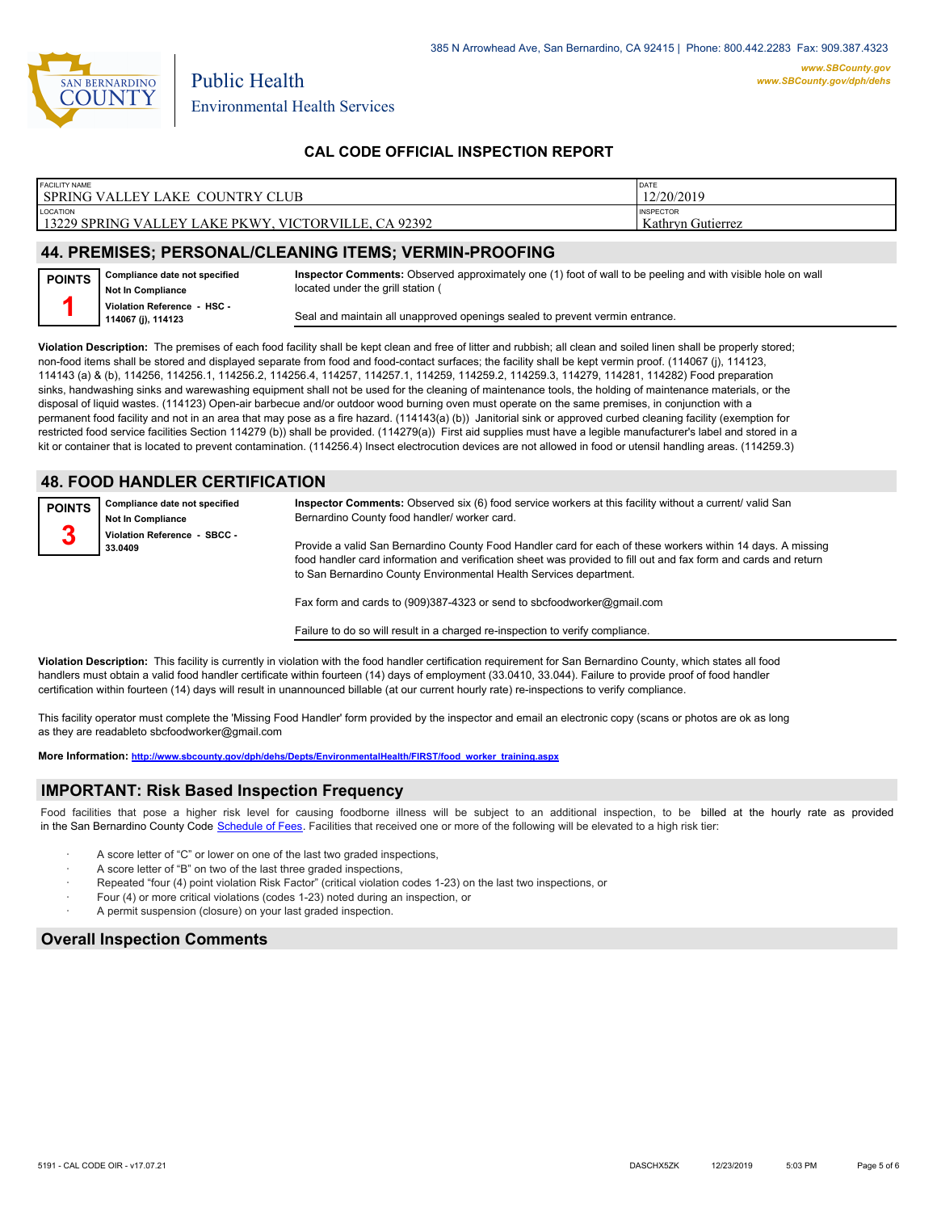

**POINTS 1**

# **CAL CODE OFFICIAL INSPECTION REPORT**

| <b>FACILITY NAME</b>                                                 | DATE              |
|----------------------------------------------------------------------|-------------------|
| <b>COUNTRY CLUB</b><br><b>SPRING VALLEY I</b><br>AKE                 | 12/20/2019        |
| LOCATION                                                             | <b>INSPECTOR</b>  |
| 92392<br>13229 SPRING VAL<br>TORVILLE.<br>. PKWY<br>LLEY LAKE<br>VIC | Kathryn Gutierrez |
|                                                                      |                   |

#### **44. PREMISES; PERSONAL/CLEANING ITEMS; VERMIN-PROOFING**

**Inspector Comments:** Observed approximately one (1) foot of wall to be peeling and with visible hole on wall located under the grill station (



**Compliance date not specified**

Seal and maintain all unapproved openings sealed to prevent vermin entrance.

**Violation Description:** The premises of each food facility shall be kept clean and free of litter and rubbish; all clean and soiled linen shall be properly stored; non-food items shall be stored and displayed separate from food and food-contact surfaces; the facility shall be kept vermin proof. (114067 (i), 114123, 114143 (a) & (b), 114256, 114256.1, 114256.2, 114256.4, 114257, 114257.1, 114259, 114259.2, 114259.3, 114279, 114281, 114282) Food preparation sinks, handwashing sinks and warewashing equipment shall not be used for the cleaning of maintenance tools, the holding of maintenance materials, or the disposal of liquid wastes. (114123) Open-air barbecue and/or outdoor wood burning oven must operate on the same premises, in conjunction with a permanent food facility and not in an area that may pose as a fire hazard. (114143(a) (b)) Janitorial sink or approved curbed cleaning facility (exemption for restricted food service facilities Section 114279 (b)) shall be provided. (114279(a)) First aid supplies must have a legible manufacturer's label and stored in a kit or container that is located to prevent contamination. (114256.4) Insect electrocution devices are not allowed in food or utensil handling areas. (114259.3)

# **48. FOOD HANDLER CERTIFICATION**

| <b>POINTS</b> | Compliance date not specified<br><b>Not In Compliance</b> | Inspector Comments: Observed six (6) food service workers at this facility without a current/ valid San<br>Bernardino County food handler/worker card.                                                                                                                                               |
|---------------|-----------------------------------------------------------|------------------------------------------------------------------------------------------------------------------------------------------------------------------------------------------------------------------------------------------------------------------------------------------------------|
| o             | Violation Reference - SBCC -<br>33.0409                   | Provide a valid San Bernardino County Food Handler card for each of these workers within 14 days. A missing<br>food handler card information and verification sheet was provided to fill out and fax form and cards and return<br>to San Bernardino County Environmental Health Services department. |
|               |                                                           | Fax form and cards to (909)387-4323 or send to sbcfoodworker@gmail.com                                                                                                                                                                                                                               |

Failure to do so will result in a charged re-inspection to verify compliance.

**Violation Description:** This facility is currently in violation with the food handler certification requirement for San Bernardino County, which states all food handlers must obtain a valid food handler certificate within fourteen (14) days of employment (33.0410, 33.044). Failure to provide proof of food handler certification within fourteen (14) days will result in unannounced billable (at our current hourly rate) re-inspections to verify compliance.

This facility operator must complete the 'Missing Food Handler' form provided by the inspector and email an electronic copy (scans or photos are ok as long as they are readableto sbcfoodworker@gmail.com

**More Information: [http://www.sbcounty.gov/dph/dehs/Depts/EnvironmentalHealth/FIRST/food\\_worker\\_training.aspx](http://www.sbcounty.gov/dph/dehs/Depts/EnvironmentalHealth/FIRST/food_worker_training.aspx)**

#### **IMPORTANT: Risk Based Inspection Frequency**

Food facilities that pose a higher risk level for causing foodborne illness will be subject to an additional inspection, to be billed at the hourly rate as provided in the San Bernardino County Code S[chedule of Fees. Facilitie](http://www.amlegal.com/nxt/gateway.dll/California/sanbernardinocounty_ca/title1governmentandadministration/division6countyfees/chapter2scheduleoffees?f=templates$fn=default.htm$3.0$vid=amlegal:sanbernardinocounty_ca$anc=JD_16.0213B)s that received one or more of the following will be elevated to a high risk tier:

- A score letter of "C" or lower on one of the last two graded inspections,
- A score letter of "B" on two of the last three graded inspections,
- Repeated "four (4) point violation Risk Factor" (critical violation codes 1-23) on the last two inspections, or
- Four (4) or more critical violations (codes 1-23) noted during an inspection, or
- A permit suspension (closure) on your last graded inspection.

#### **Overall Inspection Comments**